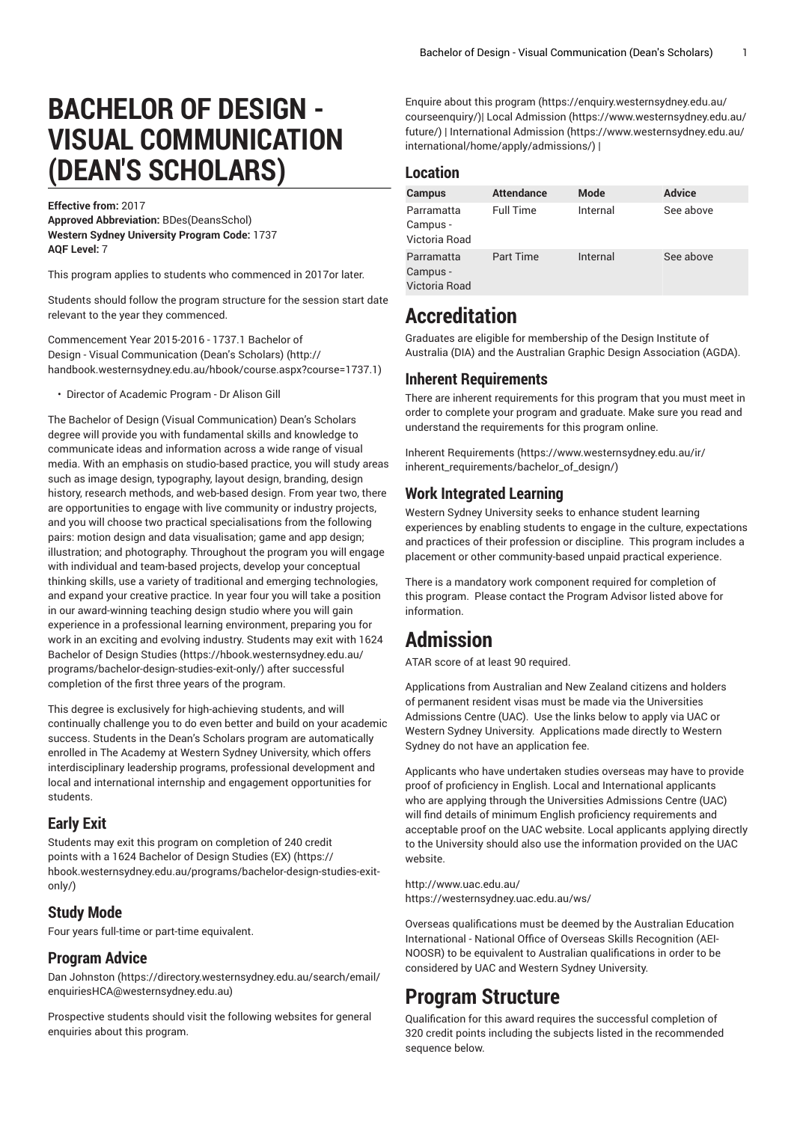# **BACHELOR OF DESIGN - VISUAL COMMUNICATION (DEAN'S SCHOLARS)**

**Effective from:** 2017 **Approved Abbreviation:** BDes(DeansSchol) **Western Sydney University Program Code:** 1737 **AQF Level:** 7

This program applies to students who commenced in 2017or later.

Students should follow the program structure for the session start date relevant to the year they commenced.

[Commencement](http://handbook.westernsydney.edu.au/hbook/course.aspx?course=1737.1) Year 2015-2016 - 1737.1 Bachelor of Design - Visual [Communication](http://handbook.westernsydney.edu.au/hbook/course.aspx?course=1737.1) (Dean's Scholars) ([http://](http://handbook.westernsydney.edu.au/hbook/course.aspx?course=1737.1) [handbook.westernsydney.edu.au/hbook/course.aspx?course=1737.1\)](http://handbook.westernsydney.edu.au/hbook/course.aspx?course=1737.1)

• Director of Academic Program - Dr Alison Gill

The Bachelor of Design (Visual Communication) Dean's Scholars degree will provide you with fundamental skills and knowledge to communicate ideas and information across a wide range of visual media. With an emphasis on studio-based practice, you will study areas such as image design, typography, layout design, branding, design history, research methods, and web-based design. From year two, there are opportunities to engage with live community or industry projects, and you will choose two practical specialisations from the following pairs: motion design and data visualisation; game and app design; illustration; and photography. Throughout the program you will engage with individual and team-based projects, develop your conceptual thinking skills, use a variety of traditional and emerging technologies, and expand your creative practice. In year four you will take a position in our award-winning teaching design studio where you will gain experience in a professional learning environment, preparing you for work in an exciting and evolving industry. Students may exit with [1624](https://hbook.westernsydney.edu.au/programs/bachelor-design-studies-exit-only/) [Bachelor of Design Studies](https://hbook.westernsydney.edu.au/programs/bachelor-design-studies-exit-only/) ([https://hbook.westernsydney.edu.au/](https://hbook.westernsydney.edu.au/programs/bachelor-design-studies-exit-only/) [programs/bachelor-design-studies-exit-only/\)](https://hbook.westernsydney.edu.au/programs/bachelor-design-studies-exit-only/) after successful completion of the first three years of the program.

This degree is exclusively for high-achieving students, and will continually challenge you to do even better and build on your academic success. Students in the Dean's Scholars program are automatically enrolled in The Academy at Western Sydney University, which offers interdisciplinary leadership programs, professional development and local and international internship and engagement opportunities for students.

#### **Early Exit**

Students may exit this program on completion of 240 credit points with a [1624 Bachelor of Design Studies \(EX\)](https://hbook.westernsydney.edu.au/programs/bachelor-design-studies-exit-only/) ([https://](https://hbook.westernsydney.edu.au/programs/bachelor-design-studies-exit-only/) [hbook.westernsydney.edu.au/programs/bachelor-design-studies-exit](https://hbook.westernsydney.edu.au/programs/bachelor-design-studies-exit-only/)[only/](https://hbook.westernsydney.edu.au/programs/bachelor-design-studies-exit-only/))

### **Study Mode**

Four years full-time or part-time equivalent.

#### **Program Advice**

[Dan Johnston](https://directory.westernsydney.edu.au/search/email/enquiriesHCA@westernsydney.edu.au) ([https://directory.westernsydney.edu.au/search/email/](https://directory.westernsydney.edu.au/search/email/enquiriesHCA@westernsydney.edu.au) [enquiriesHCA@westernsydney.edu.au](https://directory.westernsydney.edu.au/search/email/enquiriesHCA@westernsydney.edu.au))

Prospective students should visit the following websites for general enquiries about this program.

Enquire about this [program](https://enquiry.westernsydney.edu.au/courseenquiry/) ([https://enquiry.westernsydney.edu.au/](https://enquiry.westernsydney.edu.au/courseenquiry/) [courseenquiry/\)](https://enquiry.westernsydney.edu.au/courseenquiry/)| [Local Admission](https://www.westernsydney.edu.au/future/) ([https://www.westernsydney.edu.au/](https://www.westernsydney.edu.au/future/) [future/](https://www.westernsydney.edu.au/future/)) | [International Admission \(https://www.westernsydney.edu.au/](https://www.westernsydney.edu.au/international/home/apply/admissions/) [international/home/apply/admissions/](https://www.westernsydney.edu.au/international/home/apply/admissions/)) |

### **Location**

| <b>Campus</b>                           | <b>Attendance</b> | <b>Mode</b> | <b>Advice</b> |
|-----------------------------------------|-------------------|-------------|---------------|
| Parramatta<br>Campus -<br>Victoria Road | <b>Full Time</b>  | Internal    | See above     |
| Parramatta<br>Campus -<br>Victoria Road | Part Time         | Internal    | See above     |

## **Accreditation**

Graduates are eligible for membership of the Design Institute of Australia (DIA) and the Australian Graphic Design Association (AGDA).

### **Inherent Requirements**

There are inherent requirements for this program that you must meet in order to complete your program and graduate. Make sure you read and understand the requirements for this program online.

Inherent [Requirements](https://www.westernsydney.edu.au/ir/inherent_requirements/bachelor_of_design/) ([https://www.westernsydney.edu.au/ir/](https://www.westernsydney.edu.au/ir/inherent_requirements/bachelor_of_design/) [inherent\\_requirements/bachelor\\_of\\_design/](https://www.westernsydney.edu.au/ir/inherent_requirements/bachelor_of_design/))

### **Work Integrated Learning**

Western Sydney University seeks to enhance student learning experiences by enabling students to engage in the culture, expectations and practices of their profession or discipline. This program includes a placement or other community-based unpaid practical experience.

There is a mandatory work component required for completion of this program. Please contact the Program Advisor listed above for information.

### **Admission**

ATAR score of at least 90 required.

Applications from Australian and New Zealand citizens and holders of permanent resident visas must be made via the Universities Admissions Centre (UAC). Use the links below to apply via UAC or Western Sydney University. Applications made directly to Western Sydney do not have an application fee.

Applicants who have undertaken studies overseas may have to provide proof of proficiency in English. Local and International applicants who are applying through the Universities Admissions Centre (UAC) will find details of minimum English proficiency requirements and acceptable proof on the UAC website. Local applicants applying directly to the University should also use the information provided on the UAC website.

<http://www.uac.edu.au/> <https://westernsydney.uac.edu.au/ws/>

Overseas qualifications must be deemed by the Australian Education International - National Office of Overseas Skills Recognition (AEI-NOOSR) to be equivalent to Australian qualifications in order to be considered by UAC and Western Sydney University.

### **Program Structure**

Qualification for this award requires the successful completion of 320 credit points including the subjects listed in the recommended sequence below.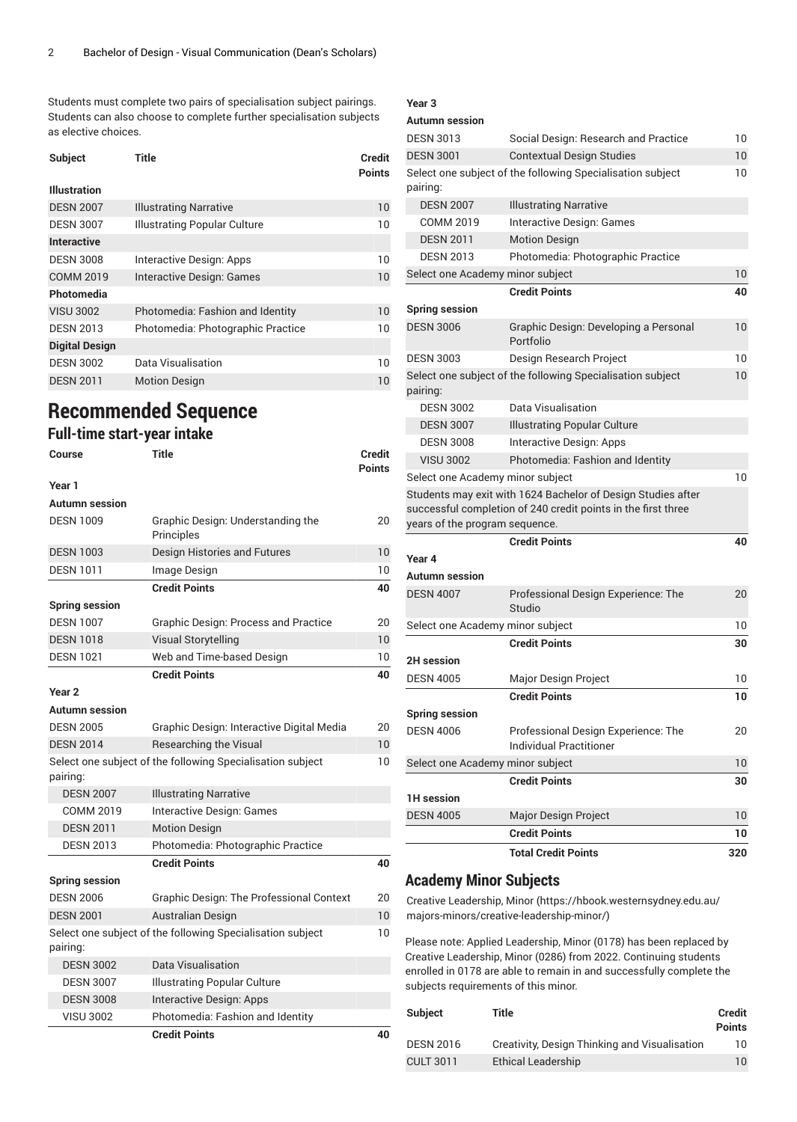Students must complete two pairs of specialisation subject pairings. Students can also choose to complete further specialisation subjects as elective choices.

| Subject               | Title                             | <b>Credit</b><br><b>Points</b> |
|-----------------------|-----------------------------------|--------------------------------|
| <b>Illustration</b>   |                                   |                                |
| <b>DESN 2007</b>      | <b>Illustrating Narrative</b>     | 10                             |
| <b>DESN 3007</b>      | Illustrating Popular Culture      | 10                             |
| <b>Interactive</b>    |                                   |                                |
| <b>DESN 3008</b>      | Interactive Design: Apps          | 10                             |
| <b>COMM 2019</b>      | Interactive Design: Games         | 10                             |
| Photomedia            |                                   |                                |
| <b>VISU 3002</b>      | Photomedia: Fashion and Identity  | 10                             |
| <b>DESN 2013</b>      | Photomedia: Photographic Practice | 10                             |
| <b>Digital Design</b> |                                   |                                |
| <b>DESN 3002</b>      | Data Visualisation                | 10                             |
| <b>DESN 2011</b>      | <b>Motion Design</b>              | 10                             |

# **Recommended Sequence**

### **Full-time start-year intake**

| Course                | Title                                                      | Credit<br>Points |
|-----------------------|------------------------------------------------------------|------------------|
| Year 1                |                                                            |                  |
| <b>Autumn</b> session |                                                            |                  |
| <b>DESN 1009</b>      | Graphic Design: Understanding the<br>Principles            | 20               |
| <b>DESN 1003</b>      | Design Histories and Futures                               | 10               |
| <b>DESN 1011</b>      | Image Design                                               | 10               |
|                       | <b>Credit Points</b>                                       | 40               |
| <b>Spring session</b> |                                                            |                  |
| <b>DESN 1007</b>      | <b>Graphic Design: Process and Practice</b>                | 20               |
| <b>DESN 1018</b>      | <b>Visual Storytelling</b>                                 | 10               |
| <b>DESN 1021</b>      | Web and Time-based Design                                  | 10               |
|                       | <b>Credit Points</b>                                       | 40               |
| Year <sub>2</sub>     |                                                            |                  |
| <b>Autumn session</b> |                                                            |                  |
| <b>DESN 2005</b>      | Graphic Design: Interactive Digital Media                  | 20               |
| <b>DESN 2014</b>      | <b>Researching the Visual</b>                              | 10               |
| pairing:              | Select one subject of the following Specialisation subject | 10               |
| <b>DESN 2007</b>      | <b>Illustrating Narrative</b>                              |                  |
| <b>COMM 2019</b>      | Interactive Design: Games                                  |                  |
| <b>DESN 2011</b>      | <b>Motion Design</b>                                       |                  |
| <b>DESN 2013</b>      | Photomedia: Photographic Practice                          |                  |
|                       | <b>Credit Points</b>                                       | 40               |
| <b>Spring session</b> |                                                            |                  |
| <b>DESN 2006</b>      | <b>Graphic Design: The Professional Context</b>            | 20               |
| <b>DESN 2001</b>      | <b>Australian Design</b>                                   | 10               |
| pairing:              | Select one subject of the following Specialisation subject | 10               |
| <b>DESN 3002</b>      | <b>Data Visualisation</b>                                  |                  |
| <b>DESN 3007</b>      | <b>Illustrating Popular Culture</b>                        |                  |
| <b>DESN 3008</b>      | Interactive Design: Apps                                   |                  |
| <b>VISU 3002</b>      | Photomedia: Fashion and Identity                           |                  |
|                       | <b>Credit Points</b>                                       | 40               |

### **Year 3**

| <b>Autumn</b> session            |                                                               |     |
|----------------------------------|---------------------------------------------------------------|-----|
| <b>DESN 3013</b>                 | Social Design: Research and Practice                          | 10  |
| <b>DESN 3001</b>                 | <b>Contextual Design Studies</b>                              | 10  |
|                                  | Select one subject of the following Specialisation subject    | 10  |
| pairing:                         |                                                               |     |
| <b>DESN 2007</b>                 | <b>Illustrating Narrative</b>                                 |     |
| <b>COMM 2019</b>                 | Interactive Design: Games                                     |     |
| <b>DESN 2011</b>                 | <b>Motion Design</b>                                          |     |
| <b>DESN 2013</b>                 | Photomedia: Photographic Practice                             |     |
| Select one Academy minor subject |                                                               | 10  |
|                                  | <b>Credit Points</b>                                          | 40  |
| <b>Spring session</b>            |                                                               |     |
| <b>DESN 3006</b>                 | Graphic Design: Developing a Personal<br>Portfolio            | 10  |
| <b>DESN 3003</b>                 | Design Research Project                                       | 10  |
| pairing:                         | Select one subject of the following Specialisation subject    | 10  |
| <b>DESN 3002</b>                 | Data Visualisation                                            |     |
| <b>DESN 3007</b>                 | <b>Illustrating Popular Culture</b>                           |     |
| <b>DESN 3008</b>                 | Interactive Design: Apps                                      |     |
| <b>VISU 3002</b>                 | Photomedia: Fashion and Identity                              |     |
| Select one Academy minor subject |                                                               | 10  |
|                                  | Students may exit with 1624 Bachelor of Design Studies after  |     |
|                                  | successful completion of 240 credit points in the first three |     |
| years of the program sequence.   |                                                               |     |
|                                  | <b>Credit Points</b>                                          | 40  |
| Year 4                           |                                                               |     |
| <b>Autumn session</b>            |                                                               |     |
| <b>DESN 4007</b>                 | Professional Design Experience: The<br>Studio                 | 20  |
| Select one Academy minor subject |                                                               | 10  |
|                                  | <b>Credit Points</b>                                          | 30  |
| <b>2H</b> session                |                                                               |     |
| <b>DESN 4005</b>                 | Major Design Project                                          | 10  |
|                                  | <b>Credit Points</b>                                          | 10  |
| <b>Spring session</b>            |                                                               |     |
| <b>DESN 4006</b>                 | Professional Design Experience: The                           | 20  |
|                                  | <b>Individual Practitioner</b>                                |     |
| Select one Academy minor subject |                                                               | 10  |
|                                  | <b>Credit Points</b>                                          | 30  |
| <b>1H</b> session                |                                                               |     |
| <b>DESN 4005</b>                 | Major Design Project                                          | 10  |
|                                  | <b>Credit Points</b>                                          | 10  |
|                                  | <b>Total Credit Points</b>                                    | 320 |

### **Academy Minor Subjects**

Creative [Leadership,](https://hbook.westernsydney.edu.au/majors-minors/creative-leadership-minor/) Minor [\(https://hbook.westernsydney.edu.au/](https://hbook.westernsydney.edu.au/majors-minors/creative-leadership-minor/) [majors-minors/creative-leadership-minor/](https://hbook.westernsydney.edu.au/majors-minors/creative-leadership-minor/))

Please note: Applied Leadership, Minor (0178) has been replaced by Creative Leadership, Minor (0286) from 2022. Continuing students enrolled in 0178 are able to remain in and successfully complete the subjects requirements of this minor.

| <b>Subject</b>   | Title                                         | Credit<br><b>Points</b> |
|------------------|-----------------------------------------------|-------------------------|
| <b>DESN 2016</b> | Creativity, Design Thinking and Visualisation | 10                      |
| <b>CULT 3011</b> | Ethical Leadership                            | $10^{\circ}$            |